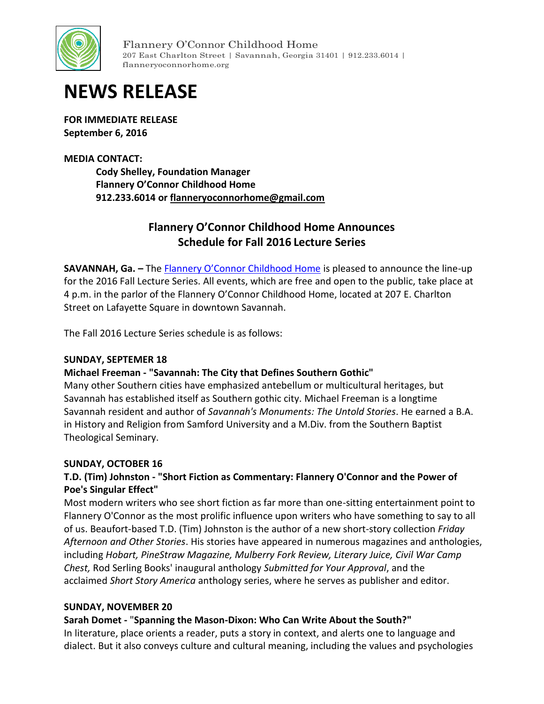

Flannery O'Connor Childhood Home 207 East Charlton Street | Savannah, Georgia 31401 | 912.233.6014 | flanneryoconnorhome.org

# **NEWS RELEASE**

**FOR IMMEDIATE RELEASE September 6, 2016**

#### **MEDIA CONTACT:**

**Cody Shelley, Foundation Manager Flannery O'Connor Childhood Home 912.233.6014 or [flanneryoconnorhome@gmail.com](mailto:flanneryoconnorhome@gmail.com)**

# **Flannery O'Connor Childhood Home Announces Schedule for Fall 2016 Lecture Series**

**SAVANNAH, Ga. –** The **[Flannery O'Connor Childhood Home](http://www.flanneryoconnorhome.org/)** is pleased to announce the line-up for the 2016 Fall Lecture Series. All events, which are free and open to the public, take place at 4 p.m. in the parlor of the Flannery O'Connor Childhood Home, located at 207 E. Charlton Street on Lafayette Square in downtown Savannah.

The Fall 2016 Lecture Series schedule is as follows:

#### **SUNDAY, SEPTEMER 18**

# **Michael Freeman - "Savannah: The City that Defines Southern Gothic"**

Many other Southern cities have emphasized antebellum or multicultural heritages, but Savannah has established itself as Southern gothic city. Michael Freeman is a longtime Savannah resident and author of *Savannah's Monuments: The Untold Stories*. He earned a B.A. in History and Religion from Samford University and a M.Div. from the Southern Baptist Theological Seminary.

#### **SUNDAY, OCTOBER 16**

# **T.D. (Tim) Johnston - "Short Fiction as Commentary: Flannery O'Connor and the Power of Poe's Singular Effect"**

Most modern writers who see short fiction as far more than one-sitting entertainment point to Flannery O'Connor as the most prolific influence upon writers who have something to say to all of us. Beaufort-based T.D. (Tim) Johnston is the author of a new short-story collection *Friday Afternoon and Other Stories*. His stories have appeared in numerous magazines and anthologies, including *Hobart, PineStraw Magazine, Mulberry Fork Review, Literary Juice, Civil War Camp Chest,* Rod Serling Books' inaugural anthology *Submitted for Your Approval*, and the acclaimed *Short Story America* anthology series, where he serves as publisher and editor.

#### **SUNDAY, NOVEMBER 20**

# **Sarah Domet -** "**Spanning the Mason-Dixon: Who Can Write About the South?"**

In literature, place orients a reader, puts a story in context, and alerts one to language and dialect. But it also conveys culture and cultural meaning, including the values and psychologies